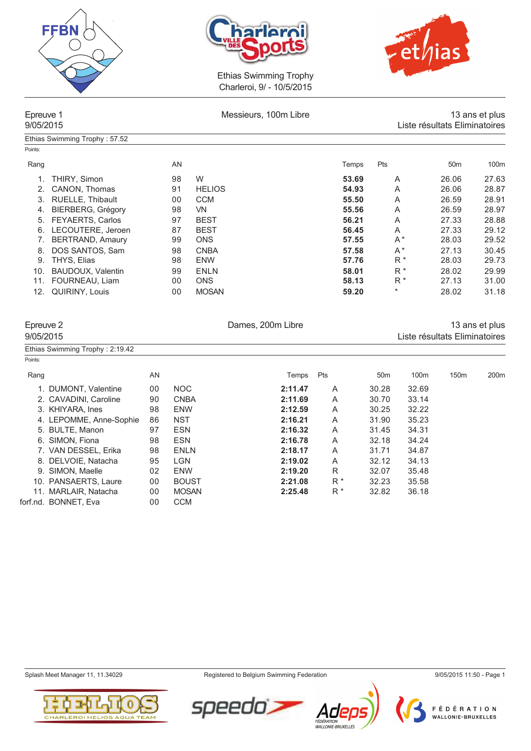

Ethias Swimming Trophy : 57.52





Ethias Swimming Trophy Charleroi, 9/ - 10/5/2015

# Epreuve 1 **Epreuve 1 Epreuve 1 Consumers** Messieurs, 100m Libre **1 Exercise 2** ans et plus 13 ans et plus 13 ans et plus 9/05/2015 Liste résultats Eliminatoires

| Points: |                          |     |               |       |         |                 |       |
|---------|--------------------------|-----|---------------|-------|---------|-----------------|-------|
| Rang    |                          | AN. |               | Temps | Pts     | 50 <sub>m</sub> | 100m  |
|         | THIRY, Simon             | 98  | W             | 53.69 | A       | 26.06           | 27.63 |
|         | CANON, Thomas            | 91  | <b>HELIOS</b> | 54.93 | A       | 26.06           | 28.87 |
| 3.      | RUELLE, Thibault         | 00  | <b>CCM</b>    | 55.50 | A       | 26.59           | 28.91 |
| 4.      | <b>BIERBERG, Grégory</b> | 98  | <b>VN</b>     | 55.56 | A       | 26.59           | 28.97 |
| 5.      | <b>FEYAERTS, Carlos</b>  | 97  | <b>BEST</b>   | 56.21 | A       | 27.33           | 28.88 |
| 6.      | LECOUTERE, Jeroen        | 87  | <b>BEST</b>   | 56.45 | A       | 27.33           | 29.12 |
|         | BERTRAND, Amaury         | 99  | <b>ONS</b>    | 57.55 | $A^*$   | 28.03           | 29.52 |
| 8.      | DOS SANTOS, Sam          | 98  | <b>CNBA</b>   | 57.58 | $A^*$   | 27.13           | 30.45 |
| 9.      | THYS, Elias              | 98  | <b>ENW</b>    | 57.76 | $R^*$   | 28.03           | 29.73 |
| 10.     | <b>BAUDOUX, Valentin</b> | 99  | <b>ENLN</b>   | 58.01 | $R^*$   | 28.02           | 29.99 |
| 11.     | FOURNEAU, Liam           | 00  | <b>ONS</b>    | 58.13 | $R^*$   | 27.13           | 31.00 |
| 12.     | QUIRINY, Louis           | 00  | <b>MOSAN</b>  | 59.20 | $\star$ | 28.02           | 31.18 |

|           | Epreuve 2                       |    |             | Dames, 200m Libre |     |                 |                               |                  | 13 ans et plus |  |  |  |  |
|-----------|---------------------------------|----|-------------|-------------------|-----|-----------------|-------------------------------|------------------|----------------|--|--|--|--|
| 9/05/2015 |                                 |    |             |                   |     |                 | Liste résultats Eliminatoires |                  |                |  |  |  |  |
|           | Ethias Swimming Trophy: 2.19.42 |    |             |                   |     |                 |                               |                  |                |  |  |  |  |
| Points:   |                                 |    |             |                   |     |                 |                               |                  |                |  |  |  |  |
| Rang      |                                 | AN |             | <b>Temps</b>      | Pts | 50 <sub>m</sub> | 100 <sub>m</sub>              | 150 <sub>m</sub> | 200m           |  |  |  |  |
|           | 1. DUMONT, Valentine            | 00 | <b>NOC</b>  | 2:11.47           | A   | 30.28           | 32.69                         |                  |                |  |  |  |  |
|           | 2. CAVADINI, Caroline           | 90 | <b>CNBA</b> | 2:11.69           | A   | 30.70           | 33.14                         |                  |                |  |  |  |  |
|           | 3. KHIYARA, Ines                | 98 | <b>ENW</b>  | 2:12.59           | A   | 30.25           | 32.22                         |                  |                |  |  |  |  |
|           | 4. LEPOMME, Anne-Sophie         | 86 | <b>NST</b>  | 2:16.21           | A   | 31.90           | 35.23                         |                  |                |  |  |  |  |
|           | 5. BULTE, Manon                 | 97 | <b>ESN</b>  | 2:16.32           | A   | 31.45           | 34.31                         |                  |                |  |  |  |  |
|           | 6. SIMON, Fiona                 | 98 | <b>ESN</b>  | 2:16.78           | A   | 32.18           | 34.24                         |                  |                |  |  |  |  |
|           | 7. VAN DESSEL, Erika            | 98 | <b>ENLN</b> | 2:18.17           | A   | 31.71           | 34.87                         |                  |                |  |  |  |  |
|           | 8. DELVOIE, Natacha             | 95 | <b>LGN</b>  | 2:19.02           | A   | 32.12           | 34.13                         |                  |                |  |  |  |  |
|           | 9. SIMON, Maelle                | 02 | <b>ENW</b>  | 2:19.20           | R   | 32.07           | 35.48                         |                  |                |  |  |  |  |

11. MARLAIR, Natacha

forf.nd. BONNET, Eva 00 CCM



Splash Meet Manager 11, 11.34029 Registered to Belgium Swimming Federation 9/05/2015 11:50 - Page 1



10. PANSAERTS, Laure 00 BOUST **2:21.08** R \* 32.23 35.58

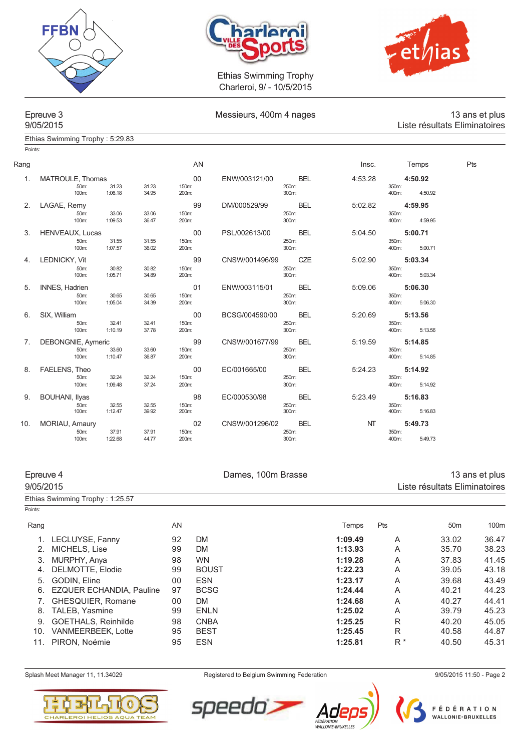





Points:

# Ethias Swimming Trophy : 5:29.83

| Messieurs, 400m 4 nages |  |  |
|-------------------------|--|--|

## Epreuve 3 **Epreuve 3** Messieurs, 400m 4 nages 13 ans et plus<br>Liste résultats Eliminatoires Liste résultats Eliminatoires

| Rang |                                   |                  |                | AN             |                |                     | Insc.     |                | Temps   | Pts |
|------|-----------------------------------|------------------|----------------|----------------|----------------|---------------------|-----------|----------------|---------|-----|
|      |                                   |                  |                |                |                |                     |           |                |         |     |
| 1.   | MATROULE, Thomas                  |                  |                | 00             | ENW/003121/00  | BEL                 | 4:53.28   |                | 4:50.92 |     |
|      | 50m:<br>100m:                     | 31.23<br>1:06.18 | 31.23<br>34.95 | 150m:<br>200m: |                | 250m:<br>300m:      |           | 350m:<br>400m: | 4:50.92 |     |
|      |                                   |                  |                |                |                |                     |           |                |         |     |
| 2.   | LAGAE, Remy                       |                  |                | 99             | DM/000529/99   | <b>BEL</b>          | 5:02.82   |                | 4:59.95 |     |
|      | 50m:<br>100m:                     | 33.06<br>1:09.53 | 33.06<br>36.47 | 150m:<br>200m: |                | 250m:<br>300m:      |           | 350m:<br>400m: | 4:59.95 |     |
|      |                                   |                  |                |                |                |                     |           |                |         |     |
| 3.   | HENVEAUX, Lucas                   |                  |                | $00\,$         | PSL/002613/00  | <b>BEL</b>          | 5:04.50   |                | 5:00.71 |     |
|      | 50m:<br>100m:                     | 31.55<br>1:07.57 | 31.55<br>36.02 | 150m:<br>200m: |                | 250m:<br>300m:      |           | 350m:<br>400m: | 5:00.71 |     |
|      |                                   |                  |                |                |                |                     |           |                |         |     |
| 4.   | LEDNICKY, Vit                     |                  |                | 99             | CNSW/001496/99 | <b>CZE</b>          | 5:02.90   |                | 5:03.34 |     |
|      | 50m:<br>100m:                     | 30.82<br>1:05.71 | 30.82<br>34.89 | 150m:<br>200m: |                | 250m:<br>300m:      |           | 350m:<br>400m: | 5:03.34 |     |
|      |                                   |                  |                |                |                |                     |           |                |         |     |
| 5.   | <b>INNES, Hadrien</b>             |                  |                | 01             | ENW/003115/01  | <b>BEL</b>          | 5:09.06   |                | 5:06.30 |     |
|      | 50m:<br>100m:                     | 30.65<br>1:05.04 | 30.65<br>34.39 | 150m:<br>200m: |                | 250m:<br>300m:      |           | 350m:<br>400m: | 5:06.30 |     |
|      |                                   |                  |                |                |                |                     |           |                |         |     |
| 6.   | SIX, William                      |                  |                | 00             | BCSG/004590/00 | <b>BEL</b>          | 5:20.69   |                | 5:13.56 |     |
|      | 50m:<br>100m:                     | 32.41<br>1:10.19 | 32.41<br>37.78 | 150m:<br>200m: |                | 250m:<br>300m:      |           | 350m:<br>400m: | 5:13.56 |     |
|      |                                   |                  |                |                |                |                     |           |                |         |     |
| 7.   | <b>DEBONGNIE, Aymeric</b><br>50m: | 33.60            | 33.60          | 99<br>150m:    | CNSW/001677/99 | <b>BEL</b><br>250m: | 5:19.59   | 350m:          | 5:14.85 |     |
|      | 100m:                             | 1:10.47          | 36.87          | 200m:          |                | 300m:               |           | 400m:          | 5:14.85 |     |
|      |                                   |                  |                |                |                |                     |           |                |         |     |
| 8.   | FAELENS, Theo                     |                  |                | 00             | EC/001665/00   | <b>BEL</b>          | 5:24.23   |                | 5:14.92 |     |
|      | 50m:<br>100m:                     | 32.24<br>1:09.48 | 32.24<br>37.24 | 150m:<br>200m: |                | 250m:<br>300m:      |           | 350m:<br>400m: | 5:14.92 |     |
|      |                                   |                  |                |                |                |                     |           |                |         |     |
| 9.   | <b>BOUHANI, Ilyas</b>             |                  |                | 98             | EC/000530/98   | <b>BEL</b>          | 5:23.49   |                | 5:16.83 |     |
|      | 50m:<br>100m:                     | 32.55<br>1:12.47 | 32.55<br>39.92 | 150m:<br>200m: |                | 250m:<br>300m:      |           | 350m:<br>400m: | 5:16.83 |     |
|      |                                   |                  |                |                |                |                     |           |                |         |     |
| 10.  | MORIAU, Amaury<br>50m:            | 37.91            | 37.91          | 02<br>150m:    | CNSW/001296/02 | <b>BEL</b><br>250m: | <b>NT</b> | 350m:          | 5:49.73 |     |
|      | 100m:                             | 1:22.68          | 44.77          | 200m:          |                | 300m:               |           | 400m:          | 5:49.73 |     |
|      |                                   |                  |                |                |                |                     |           |                |         |     |

# Epreuve 4 13 ans et plus<br>Bames, 100m Brasse 13 ans et plus<br>Liste résultats Eliminatoires Liste résultats Eliminatoires

|         | Ethias Swimming Trophy: 1:25.57 |    |              |         |       |                 |       |
|---------|---------------------------------|----|--------------|---------|-------|-----------------|-------|
| Points: |                                 |    |              |         |       |                 |       |
| Rang    |                                 | AN |              | Temps   | Pts   | 50 <sub>m</sub> | 100m  |
|         | LECLUYSE, Fanny                 | 92 | <b>DM</b>    | 1:09.49 | A     | 33.02           | 36.47 |
|         | MICHELS, Lise                   | 99 | <b>DM</b>    | 1:13.93 | A     | 35.70           | 38.23 |
| 3.      | MURPHY, Anya                    | 98 | <b>WN</b>    | 1:19.28 | A     | 37.83           | 41.45 |
| 4.      | DELMOTTE, Elodie                | 99 | <b>BOUST</b> | 1:22.23 | A     | 39.05           | 43.18 |
| 5.      | <b>GODIN, Eline</b>             | 00 | <b>ESN</b>   | 1:23.17 | A     | 39.68           | 43.49 |
| 6.      | <b>EZQUER ECHANDIA, Pauline</b> | 97 | <b>BCSG</b>  | 1:24.44 | A     | 40.21           | 44.23 |
|         | GHESQUIER, Romane               | 00 | <b>DM</b>    | 1:24.68 | A     | 40.27           | 44.41 |
| 8.      | TALEB, Yasmine                  | 99 | <b>ENLN</b>  | 1:25.02 | A     | 39.79           | 45.23 |
| 9.      | <b>GOETHALS, Reinhilde</b>      | 98 | <b>CNBA</b>  | 1:25.25 | R     | 40.20           | 45.05 |
| 10.     | <b>VANMEERBEEK, Lotte</b>       | 95 | <b>BEST</b>  | 1:25.45 | R     | 40.58           | 44.87 |
| 11.     | PIRON, Noémie                   | 95 | <b>ESN</b>   | 1:25.81 | $R^*$ | 40.50           | 45.31 |
|         |                                 |    |              |         |       |                 |       |



Splash Meet Manager 11, 11.34029 **Registered to Belgium Swimming Federation** 9/05/2015 11:50 - Page 2

speedo



Ad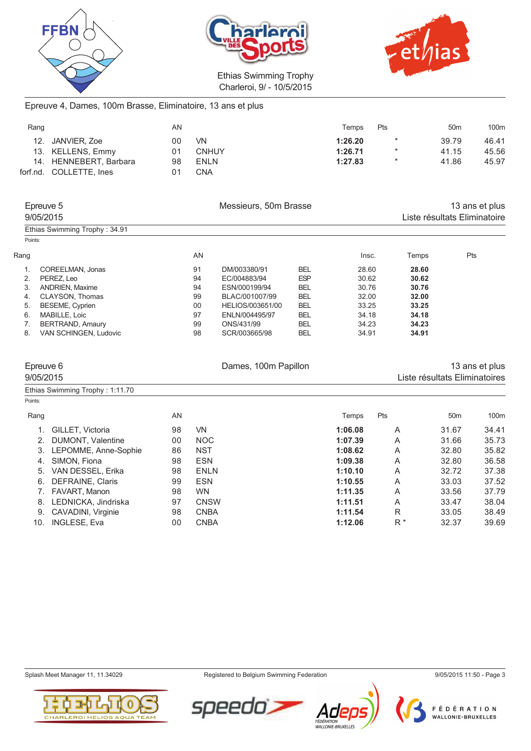





# Epreuve 4, Dames, 100m Brasse, Eliminatoire, 13 ans et plus

| Rang |                         | AN |              | Temps   | Pts     | 50 <sub>m</sub> | 100m  |
|------|-------------------------|----|--------------|---------|---------|-----------------|-------|
|      | 12. JANVIER, Zoe        | 00 | <b>VN</b>    | 1:26.20 | $\star$ | 39.79           | 46.41 |
|      | 13. KELLENS, Emmy       | 01 | <b>CNHUY</b> | 1:26.71 | $\star$ | 41.15           | 45.56 |
|      | 14. HENNEBERT, Barbara  | 98 | <b>ENLN</b>  | 1:27.83 | $\star$ | 41.86           | 45.97 |
|      | forf.nd. COLLETTE, Ines | 01 | CNA          |         |         |                 |       |

| Epreuve 5<br>9/05/2015        | Messieurs, 50m Brasse |                  |            | 13 ans et plus<br>Liste résultats Eliminatoire |       |     |
|-------------------------------|-----------------------|------------------|------------|------------------------------------------------|-------|-----|
| Ethias Swimming Trophy: 34.91 |                       |                  |            |                                                |       |     |
| Points:                       |                       |                  |            |                                                |       |     |
| Rang                          | AN                    |                  |            | Insc.                                          | Temps | Pts |
| COREELMAN, Jonas              | 91                    | DM/003380/91     | <b>BEL</b> | 28.60                                          | 28.60 |     |
| PEREZ. Leo<br>2.              | 94                    | EC/004883/94     | <b>ESP</b> | 30.62                                          | 30.62 |     |
| <b>ANDRIEN, Maxime</b><br>3.  | 94                    | ESN/000199/94    | <b>BEL</b> | 30.76                                          | 30.76 |     |
| CLAYSON, Thomas<br>4.         | 99                    | BLAC/001007/99   | <b>BEL</b> | 32.00                                          | 32.00 |     |
| <b>BESEME, Cyprien</b><br>5.  | 00                    | HELIOS/003651/00 | <b>BEL</b> | 33.25                                          | 33.25 |     |
| MABILLE, Loic<br>6.           | 97                    | ENLN/004495/97   | <b>BEL</b> | 34.18                                          | 34.18 |     |
| <b>BERTRAND, Amaury</b>       | 99                    | ONS/431/99       | <b>BEL</b> | 34.23                                          | 34.23 |     |
| VAN SCHINGEN, Ludovic<br>8.   | 98                    | SCR/003665/98    | <b>BEL</b> | 34.91                                          | 34.91 |     |

| Epreuve 6<br>9/05/2015 |                                 |                | Dames, 100m Papillon |         |       | 13 ans et plus<br>Liste résultats Eliminatoires |       |  |
|------------------------|---------------------------------|----------------|----------------------|---------|-------|-------------------------------------------------|-------|--|
|                        | Ethias Swimming Trophy: 1:11.70 |                |                      |         |       |                                                 |       |  |
| Points:                |                                 |                |                      |         |       |                                                 |       |  |
| Rang                   |                                 | AN             |                      | Temps   | Pts   | 50 <sub>m</sub>                                 | 100m  |  |
|                        | GILLET, Victoria                | 98             | <b>VN</b>            | 1:06.08 | A     | 31.67                                           | 34.41 |  |
| 2.                     | DUMONT, Valentine               | 0 <sub>0</sub> | <b>NOC</b>           | 1:07.39 | A     | 31.66                                           | 35.73 |  |
| 3.                     | LEPOMME, Anne-Sophie            | 86             | <b>NST</b>           | 1:08.62 | A     | 32.80                                           | 35.82 |  |
| 4.                     | SIMON, Fiona                    | 98             | <b>ESN</b>           | 1:09.38 | A     | 32.80                                           | 36.58 |  |
| 5.                     | VAN DESSEL, Erika               | 98             | <b>ENLN</b>          | 1:10.10 | A     | 32.72                                           | 37.38 |  |
| 6.                     | <b>DEFRAINE, Claris</b>         | 99             | <b>ESN</b>           | 1:10.55 | A     | 33.03                                           | 37.52 |  |
|                        | FAVART, Manon                   | 98             | <b>WN</b>            | 1:11.35 | A     | 33.56                                           | 37.79 |  |
| 8.                     | LEDNICKA, Jindriska             | 97             | <b>CNSW</b>          | 1:11.51 | A     | 33.47                                           | 38.04 |  |
| 9.                     | <b>CAVADINI, Virginie</b>       | 98             | <b>CNBA</b>          | 1:11.54 | R     | 33.05                                           | 38.49 |  |
| 10.                    | INGLESE, Eva                    | 00             | <b>CNBA</b>          | 1:12.06 | $R^*$ | 32.37                                           | 39.69 |  |

Splash Meet Manager 11, 11.34029 **Registered to Belgium Swimming Federation** 9/05/2015 11:50 - Page 3





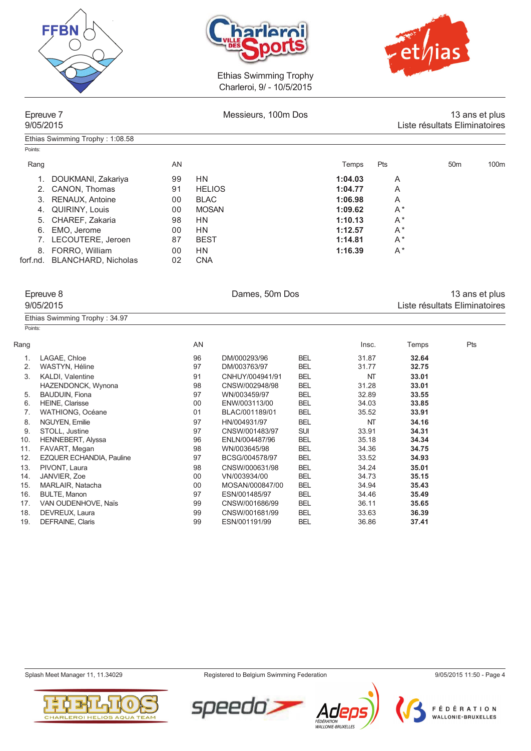

Ethias Swimming Trophy : 1:08.58





Ethias Swimming Trophy Charleroi, 9/ - 10/5/2015

| Epreuve 7 |  |
|-----------|--|
| 9/05/2015 |  |

Messieurs, 100m Dos 13 ans et plus 9/05/2015 Liste résultats Eliminatoires

|                            | AN |               | Temps   | Pts   | 50 <sub>m</sub> | 100 <sub>m</sub> |
|----------------------------|----|---------------|---------|-------|-----------------|------------------|
| DOUKMANI, Zakariya         | 99 | HN            | 1:04.03 | A     |                 |                  |
| 2. CANON, Thomas           | 91 | <b>HELIOS</b> | 1:04.77 | A     |                 |                  |
| RENAUX, Antoine            | 00 | <b>BLAC</b>   | 1:06.98 | A     |                 |                  |
| 4. QUIRINY, Louis          | 00 | <b>MOSAN</b>  | 1:09.62 | $A^*$ |                 |                  |
| 5. CHAREF, Zakaria         | 98 | <b>HN</b>     | 1:10.13 | $A^*$ |                 |                  |
| 6. EMO, Jerome             | 00 | HN            | 1:12.57 | $A^*$ |                 |                  |
| 7. LECOUTERE, Jeroen       | 87 | <b>BEST</b>   | 1:14.81 | $A^*$ |                 |                  |
| FORRO, William             | 00 | HN            | 1:16.39 | $A^*$ |                 |                  |
| <b>BLANCHARD, Nicholas</b> | 02 | <b>CNA</b>    |         |       |                 |                  |
|                            |    |               |         |       |                 |                  |

|                | Epreuve 8<br>9/05/2015        |    | Dames, 50m Dos  |            |       |       | 13 ans et plus<br>Liste résultats Eliminatoires |  |  |
|----------------|-------------------------------|----|-----------------|------------|-------|-------|-------------------------------------------------|--|--|
|                | Ethias Swimming Trophy: 34.97 |    |                 |            |       |       |                                                 |  |  |
| Points:        |                               |    |                 |            |       |       |                                                 |  |  |
| Rang           |                               | AN |                 |            | Insc. | Temps | Pts                                             |  |  |
| 1.             | LAGAE, Chloe                  | 96 | DM/000293/96    | <b>BEL</b> | 31.87 | 32.64 |                                                 |  |  |
| 2.             | WASTYN, Héline                | 97 | DM/003763/97    | <b>BEL</b> | 31.77 | 32.75 |                                                 |  |  |
| 3.             | KALDI, Valentine              | 91 | CNHUY/004941/91 | <b>BEL</b> | NT    | 33.01 |                                                 |  |  |
|                | HAZENDONCK, Wynona            | 98 | CNSW/002948/98  | <b>BEL</b> | 31.28 | 33.01 |                                                 |  |  |
| 5.             | <b>BAUDUIN, Fiona</b>         | 97 | WN/003459/97    | <b>BEL</b> | 32.89 | 33.55 |                                                 |  |  |
| 6.             | <b>HEINE, Clarisse</b>        | 00 | ENW/003113/00   | <b>BEL</b> | 34.03 | 33.85 |                                                 |  |  |
| 7 <sub>1</sub> | WATHIONG, Océane              | 01 | BLAC/001189/01  | <b>BEL</b> | 35.52 | 33.91 |                                                 |  |  |
| 8.             | NGUYEN, Emilie                | 97 | HN/004931/97    | <b>BEL</b> | NT    | 34.16 |                                                 |  |  |
| 9.             | STOLL, Justine                | 97 | CNSW/001483/97  | <b>SUI</b> | 33.91 | 34.31 |                                                 |  |  |
| 10.            | <b>HENNEBERT, Alyssa</b>      | 96 | ENLN/004487/96  | <b>BEL</b> | 35.18 | 34.34 |                                                 |  |  |
| 11.            | FAVART, Megan                 | 98 | WN/003645/98    | <b>BEL</b> | 34.36 | 34.75 |                                                 |  |  |
| 12.            | EZQUER ECHANDIA, Pauline      | 97 | BCSG/004578/97  | <b>BEL</b> | 33.52 | 34.93 |                                                 |  |  |
| 13.            | PIVONT, Laura                 | 98 | CNSW/000631/98  | <b>BEL</b> | 34.24 | 35.01 |                                                 |  |  |
| 14.            | JANVIER, Zoe                  | 00 | VN/003934/00    | <b>BEL</b> | 34.73 | 35.15 |                                                 |  |  |
| 15.            | MARLAIR, Natacha              | 00 | MOSAN/000847/00 | <b>BEL</b> | 34.94 | 35.43 |                                                 |  |  |
| 16.            | <b>BULTE, Manon</b>           | 97 | ESN/001485/97   | <b>BEL</b> | 34.46 | 35.49 |                                                 |  |  |
| 17.            | VAN OUDENHOVE, Naïs           | 99 | CNSW/001686/99  | <b>BEL</b> | 36.11 | 35.65 |                                                 |  |  |
| 18.            | DEVREUX, Laura                | 99 | CNSW/001681/99  | <b>BEL</b> | 33.63 | 36.39 |                                                 |  |  |
| 19.            | DEFRAINE, Claris              | 99 | ESN/001191/99   | <b>BEL</b> | 36.86 | 37.41 |                                                 |  |  |

Splash Meet Manager 11, 11.34029 **Registered to Belgium Swimming Federation** 9/05/2015 11:50 - Page 4

Ad

FÉDÉRATION<br>WALLONIE-BRUXELLES

speedo



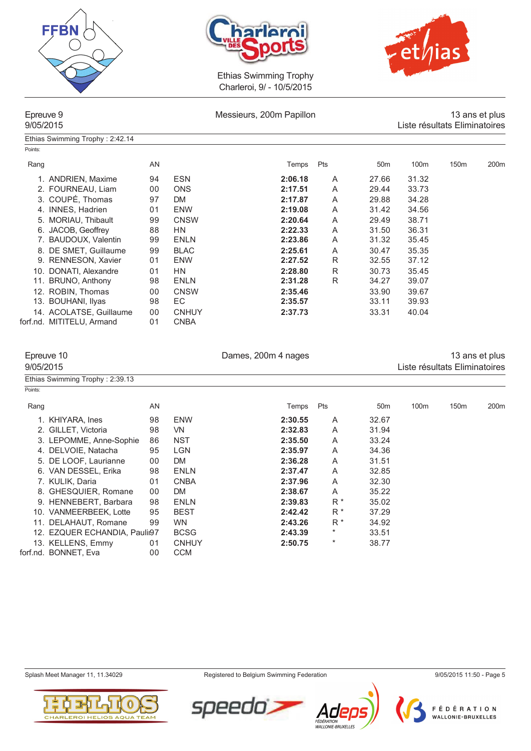





Ethias Swimming Trophy : 2:42.14

Epreuve 9 **13 ans et plus**<br>Messieurs, 200m Papillon 13 ans et plus 13 ans et plus<br>Liste résultats Eliminatoires Liste résultats Eliminatoires

| Points: |                           |                |              |         |     |                 |                  |                  |                  |
|---------|---------------------------|----------------|--------------|---------|-----|-----------------|------------------|------------------|------------------|
| Rang    |                           | AN             |              | Temps   | Pts | 50 <sub>m</sub> | 100 <sub>m</sub> | 150 <sub>m</sub> | 200 <sub>m</sub> |
|         | 1. ANDRIEN, Maxime        | 94             | <b>ESN</b>   | 2:06.18 | A   | 27.66           | 31.32            |                  |                  |
|         | 2. FOURNEAU, Liam         | 00             | <b>ONS</b>   | 2:17.51 | A   | 29.44           | 33.73            |                  |                  |
|         | 3. COUPÉ, Thomas          | 97             | <b>DM</b>    | 2:17.87 | A   | 29.88           | 34.28            |                  |                  |
|         | 4. INNES, Hadrien         | 0 <sub>1</sub> | <b>ENW</b>   | 2:19.08 | A   | 31.42           | 34.56            |                  |                  |
|         | 5. MORIAU, Thibault       | 99             | <b>CNSW</b>  | 2:20.64 | A   | 29.49           | 38.71            |                  |                  |
|         | 6. JACOB, Geoffrey        | 88             | <b>HN</b>    | 2:22.33 | A   | 31.50           | 36.31            |                  |                  |
|         | 7. BAUDOUX, Valentin      | 99             | <b>ENLN</b>  | 2:23.86 | A   | 31.32           | 35.45            |                  |                  |
|         | 8. DE SMET, Guillaume     | 99             | <b>BLAC</b>  | 2:25.61 | A   | 30.47           | 35.35            |                  |                  |
|         | 9. RENNESON, Xavier       | 01             | <b>ENW</b>   | 2:27.52 | R   | 32.55           | 37.12            |                  |                  |
|         | 10. DONATI, Alexandre     | 01             | <b>HN</b>    | 2:28.80 | R   | 30.73           | 35.45            |                  |                  |
|         | 11. BRUNO, Anthony        | 98             | ENLN         | 2:31.28 | R   | 34.27           | 39.07            |                  |                  |
|         | 12. ROBIN, Thomas         | 00             | <b>CNSW</b>  | 2:35.46 |     | 33.90           | 39.67            |                  |                  |
|         | 13. BOUHANI, Ilyas        | 98             | EC           | 2:35.57 |     | 33.11           | 39.93            |                  |                  |
|         | 14. ACOLATSE, Guillaume   | 00             | <b>CNHUY</b> | 2:37.73 |     | 33.31           | 40.04            |                  |                  |
|         | forf.nd. MITITELU, Armand | 0 <sub>1</sub> | <b>CNBA</b>  |         |     |                 |                  |                  |                  |

| Epreuve 10                      |    |              | 13 ans et plus |           |                 |                               |      |      |
|---------------------------------|----|--------------|----------------|-----------|-----------------|-------------------------------|------|------|
| 9/05/2015                       |    |              |                |           |                 | Liste résultats Eliminatoires |      |      |
| Ethias Swimming Trophy: 2:39.13 |    |              |                |           |                 |                               |      |      |
| Points:                         |    |              |                |           |                 |                               |      |      |
| Rang                            | AN |              | Temps          | Pts       | 50 <sub>m</sub> | 100m                          | 150m | 200m |
| 1. KHIYARA, Ines                | 98 | <b>ENW</b>   | 2:30.55        | A         | 32.67           |                               |      |      |
| 2. GILLET, Victoria             | 98 | VN.          | 2:32.83        | A         | 31.94           |                               |      |      |
| 3. LEPOMME, Anne-Sophie         | 86 | <b>NST</b>   | 2:35.50        | A         | 33.24           |                               |      |      |
| 4. DELVOIE, Natacha             | 95 | <b>LGN</b>   | 2:35.97        | Α         | 34.36           |                               |      |      |
| 5. DE LOOF, Laurianne           | 00 | DM           | 2:36.28        | Α         | 31.51           |                               |      |      |
| 6. VAN DESSEL, Erika            | 98 | <b>ENLN</b>  | 2:37.47        | Α         | 32.85           |                               |      |      |
| 7. KULIK, Daria                 | 01 | <b>CNBA</b>  | 2:37.96        | A         | 32.30           |                               |      |      |
| 8. GHESQUIER, Romane            | 00 | <b>DM</b>    | 2:38.67        | A         | 35.22           |                               |      |      |
| 9. HENNEBERT, Barbara           | 98 | <b>ENLN</b>  | 2:39.83        | $R^*$     | 35.02           |                               |      |      |
| 10. VANMEERBEEK, Lotte          | 95 | <b>BEST</b>  | 2:42.42        | R *       | 37.29           |                               |      |      |
| 11. DELAHAUT, Romane            | 99 | <b>WN</b>    | 2:43.26        | $R^*$     | 34.92           |                               |      |      |
| 12. EZQUER ECHANDIA, Paulii97   |    | <b>BCSG</b>  | 2:43.39        | $^\ast$   | 33.51           |                               |      |      |
| 13. KELLENS, Emmv               | 01 | <b>CNHUY</b> | 2:50.75        | $^{\ast}$ | 38.77           |                               |      |      |

forf.nd. BONNET, Eva

Splash Meet Manager 11, 11.34029 Registered to Belgium Swimming Federation 9/05/2015 11:50 - Page 5



13. KELLENS, Emmy 01 CNHU<br>
nd. BONNET, Eva 00 CCM



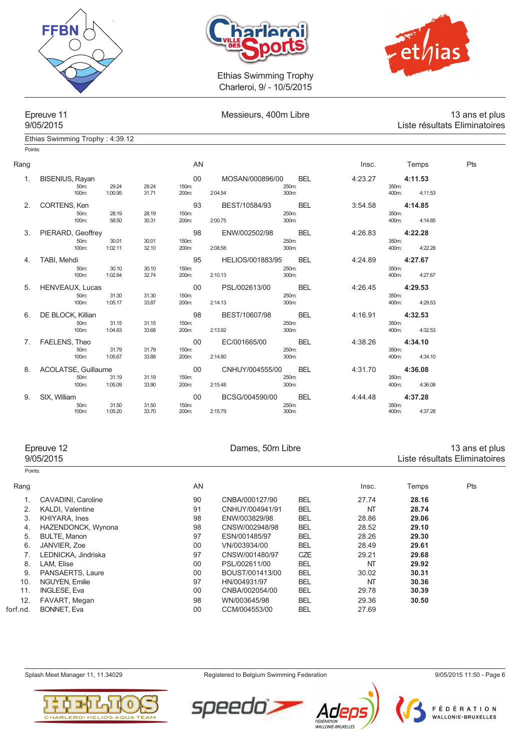





Points:

Ethias Swimming Trophy : 4:39.12

# Epreuve 11 Messieurs, 400m Libre 13 ans et plus Liste résultats Eliminatoires

| Rang |                                |         |       | AN          |                  |       |            | Insc.   |       | Temps   | Pts |
|------|--------------------------------|---------|-------|-------------|------------------|-------|------------|---------|-------|---------|-----|
| 1.   | <b>BISENIUS, Rayan</b><br>50m: | 29.24   | 29.24 | 00<br>150m: | MOSAN/000896/00  | 250m: | BEL        | 4:23.27 | 350m: | 4:11.53 |     |
|      | 100m:                          | 1:00.95 | 31.71 | 200m:       | 2:04.54          | 300m: |            |         | 400m: | 4:11.53 |     |
| 2.   | CORTENS, Ken                   |         |       | 93          | BEST/10584/93    |       | <b>BEL</b> | 3:54.58 |       | 4:14.85 |     |
|      | 50m:                           | 28.19   | 28.19 | 150m:       |                  | 250m: |            |         | 350m: |         |     |
|      | 100m:                          | 58.50   | 30.31 | 200m:       | 2:00.75          | 300m: |            |         | 400m: | 4:14.85 |     |
| 3.   | PIERARD, Geoffrey              |         |       | 98          | ENW/002502/98    |       | <b>BEL</b> | 4:26.83 |       | 4:22.28 |     |
|      | 50m:                           | 30.01   | 30.01 | 150m:       |                  | 250m: |            |         | 350m: |         |     |
|      | 100m:                          | 1:02.11 | 32.10 | 200m:       | 2:08.58          | 300m: |            |         | 400m: | 4:22.28 |     |
| 4.   | TABI, Mehdi                    |         |       | 95          | HELIOS/001883/95 |       | <b>BEL</b> | 4:24.89 |       | 4:27.67 |     |
|      | 50m:                           | 30.10   | 30.10 | 150m:       |                  | 250m: |            |         | 350m: |         |     |
|      | 100m:                          | 1:02.84 | 32.74 | 200m:       | 2:10.13          | 300m: |            |         | 400m: | 4:27.67 |     |
| 5.   | HENVEAUX, Lucas                |         |       | 00          | PSL/002613/00    |       | <b>BEL</b> | 4:26.45 |       | 4:29.53 |     |
|      | 50m:                           | 31.30   | 31.30 | 150m:       |                  | 250m: |            |         | 350m: |         |     |
|      | 100m:                          | 1:05.17 | 33.87 | 200m:       | 2:14.13          | 300m: |            |         | 400m: | 4:29.53 |     |
| 6.   | DE BLOCK, Killian              |         |       | 98          | BEST/10607/98    |       | <b>BEL</b> | 4:16.91 |       | 4:32.53 |     |
|      | 50m:                           | 31.15   | 31.15 | 150m:       |                  | 250m: |            |         | 350m: |         |     |
|      | 100m:                          | 1:04.83 | 33.68 | 200m:       | 2:13.92          | 300m: |            |         | 400m: | 4:32.53 |     |
| 7.   | FAELENS, Theo                  |         |       | 00          | EC/001665/00     |       | <b>BEL</b> | 4:38.26 |       | 4:34.10 |     |
|      | 50m:                           | 31.79   | 31.79 | 150m:       |                  | 250m: |            |         | 350m: |         |     |
|      | 100m:                          | 1:05.67 | 33.88 | 200m:       | 2:14.80          | 300m: |            |         | 400m: | 4:34.10 |     |
| 8.   | ACOLATSE, Guillaume            |         |       | 00          | CNHUY/004555/00  |       | <b>BEL</b> | 4:31.70 |       | 4:36.08 |     |
|      | 50m:                           | 31.19   | 31.19 | 150m:       |                  | 250m: |            |         | 350m: |         |     |
|      | 100m:                          | 1:05.09 | 33.90 | 200m:       | 2:15.48          | 300m: |            |         | 400m: | 4:36.08 |     |
| 9.   | SIX, William                   |         |       | 00          | BCSG/004590/00   |       | <b>BEL</b> | 4:44.48 |       | 4:37.28 |     |
|      | 50m:                           | 31.50   | 31.50 | 150m:       |                  | 250m: |            |         | 350m: |         |     |
|      | 100m:                          | 1:05.20 | 33.70 | 200m:       | 2:15.79          | 300m: |            |         | 400m: | 4:37.28 |     |

| Epreuve 12<br>9/05/2015 |                         |    | Dames, 50m Libre | 13 ans et plus<br>Liste résultats Eliminatoires |       |       |     |  |
|-------------------------|-------------------------|----|------------------|-------------------------------------------------|-------|-------|-----|--|
| Points:                 |                         |    |                  |                                                 |       |       |     |  |
| Rang                    |                         | AN |                  |                                                 | Insc. | Temps | Pts |  |
| 1.                      | CAVADINI, Caroline      | 90 | CNBA/000127/90   | <b>BEL</b>                                      | 27.74 | 28.16 |     |  |
| 2.                      | <b>KALDI.</b> Valentine | 91 | CNHUY/004941/91  | <b>BEL</b>                                      | NT    | 28.74 |     |  |
| 3.                      | KHIYARA, Ines           | 98 | ENW/003829/98    | <b>BEL</b>                                      | 28.86 | 29.06 |     |  |
| 4.                      | HAZENDONCK, Wynona      | 98 | CNSW/002948/98   | <b>BEL</b>                                      | 28.52 | 29.10 |     |  |
| 5.                      | <b>BULTE, Manon</b>     | 97 | ESN/001485/97    | <b>BEL</b>                                      | 28.26 | 29.30 |     |  |
| 6.                      | JANVIER, Zoe            | 00 | VN/003934/00     | <b>BEL</b>                                      | 28.49 | 29.61 |     |  |
| 7 <sub>1</sub>          | LEDNICKA, Jindriska     | 97 | CNSW/001480/97   | <b>CZE</b>                                      | 29.21 | 29.68 |     |  |
| 8.                      | LAM, Elise              | 00 | PSL/002611/00    | <b>BEL</b>                                      | NT    | 29.92 |     |  |
| 9.                      | PANSAERTS, Laure        | 00 | BOUST/001413/00  | <b>BEL</b>                                      | 30.02 | 30.31 |     |  |
| 10.                     | NGUYEN, Emilie          | 97 | HN/004931/97     | <b>BEL</b>                                      | NT    | 30.36 |     |  |
| 11.                     | <b>INGLESE, Eva</b>     | 00 | CNBA/002054/00   | <b>BEL</b>                                      | 29.78 | 30.39 |     |  |
| 12.                     | FAVART, Megan           | 98 | WN/003645/98     | <b>BEL</b>                                      | 29.36 | 30.50 |     |  |
| forf.nd.                | BONNET, Eva             | 00 | CCM/004553/00    | <b>BEL</b>                                      | 27.69 |       |     |  |
|                         |                         |    |                  |                                                 |       |       |     |  |



Splash Meet Manager 11, 11.34029 **Registered to Belgium Swimming Federation** 9/05/2015 11:50 - Page 6

speedo